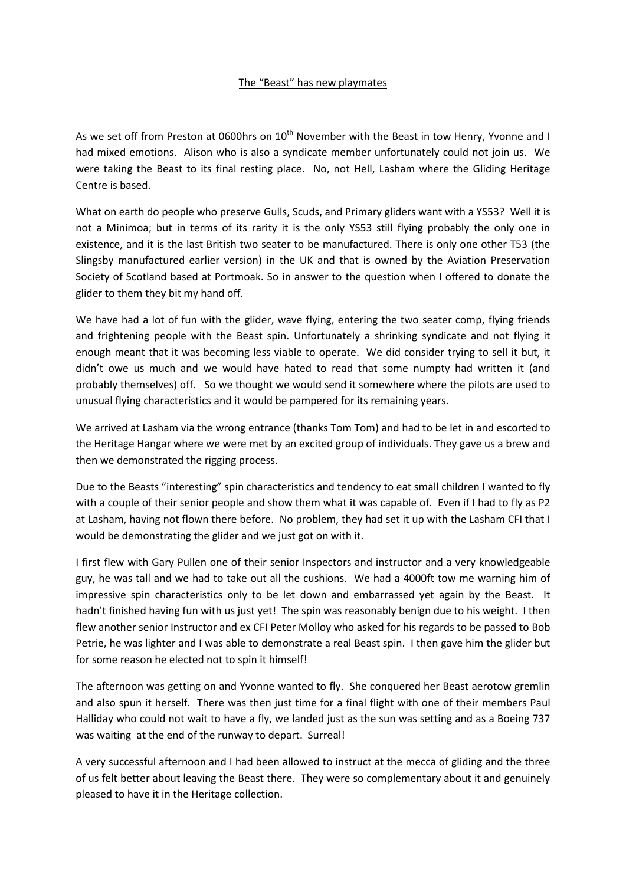## The "Beast" has new playmates

As we set off from Preston at 0600hrs on 10<sup>th</sup> November with the Beast in tow Henry, Yvonne and I had mixed emotions. Alison who is also a syndicate member unfortunately could not join us. We were taking the Beast to its final resting place. No, not Hell, Lasham where the Gliding Heritage Centre is based.

What on earth do people who preserve Gulls, Scuds, and Primary gliders want with a YS53? Well it is not a Minimoa; but in terms of its rarity it is the only YS53 still flying probably the only one in existence, and it is the last British two seater to be manufactured. There is only one other T53 (the Slingsby manufactured earlier version) in the UK and that is owned by the Aviation Preservation Society of Scotland based at Portmoak. So in answer to the question when I offered to donate the glider to them they bit my hand off.

We have had a lot of fun with the glider, wave flying, entering the two seater comp, flying friends and frightening people with the Beast spin. Unfortunately a shrinking syndicate and not flying it enough meant that it was becoming less viable to operate. We did consider trying to sell it but, it didn't owe us much and we would have hated to read that some numpty had written it (and probably themselves) off. So we thought we would send it somewhere where the pilots are used to unusual flying characteristics and it would be pampered for its remaining years.

We arrived at Lasham via the wrong entrance (thanks Tom Tom) and had to be let in and escorted to the Heritage Hangar where we were met by an excited group of individuals. They gave us a brew and then we demonstrated the rigging process.

Due to the Beasts "interesting" spin characteristics and tendency to eat small children I wanted to fly with a couple of their senior people and show them what it was capable of. Even if I had to fly as P2 at Lasham, having not flown there before. No problem, they had set it up with the Lasham CFI that I would be demonstrating the glider and we just got on with it.

I first flew with Gary Pullen one of their senior Inspectors and instructor and a very knowledgeable guy, he was tall and we had to take out all the cushions. We had a 4000ft tow me warning him of impressive spin characteristics only to be let down and embarrassed yet again by the Beast. It hadn't finished having fun with us just yet! The spin was reasonably benign due to his weight. I then flew another senior Instructor and ex CFI Peter Molloy who asked for his regards to be passed to Bob Petrie, he was lighter and I was able to demonstrate a real Beast spin. I then gave him the glider but for some reason he elected not to spin it himself!

The afternoon was getting on and Yvonne wanted to fly. She conquered her Beast aerotow gremlin and also spun it herself. There was then just time for a final flight with one of their members Paul Halliday who could not wait to have a fly, we landed just as the sun was setting and as a Boeing 737 was waiting at the end of the runway to depart. Surreal!

A very successful afternoon and I had been allowed to instruct at the mecca of gliding and the three of us felt better about leaving the Beast there. They were so complementary about it and genuinely pleased to have it in the Heritage collection.